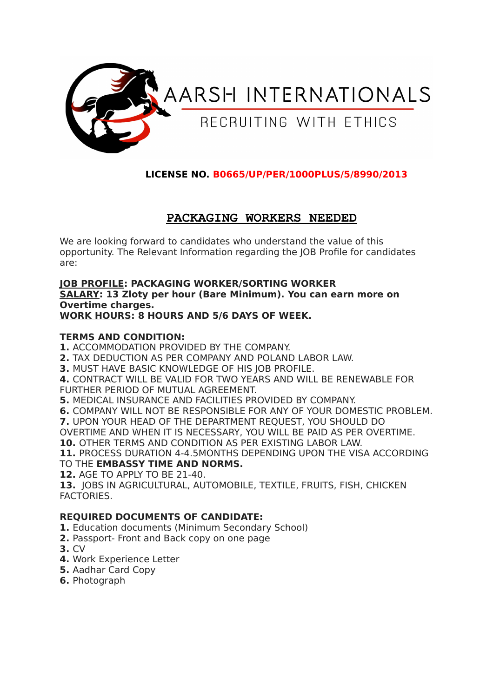

## **LICENSE NO. B0665/UP/PER/1000PLUS/5/8990/2013**

# **PACKAGING WORKERS NEEDED**

We are looking forward to candidates who understand the value of this opportunity. The Relevant Information regarding the JOB Profile for candidates are:

#### **JOB PROFILE: PACKAGING WORKER/SORTING WORKER SALARY: 13 Zloty per hour (Bare Minimum). You can earn more on Overtime charges. WORK HOURS: 8 HOURS AND 5/6 DAYS OF WEEK.**

### **TERMS AND CONDITION:**

**1.** ACCOMMODATION PROVIDED BY THE COMPANY.

**2.** TAX DEDUCTION AS PER COMPANY AND POLAND LABOR LAW.

**3.** MUST HAVE BASIC KNOWLEDGE OF HIS JOB PROFILE.

**4.** CONTRACT WILL BE VALID FOR TWO YEARS AND WILL BE RENEWABLE FOR FURTHER PERIOD OF MUTUAL AGREEMENT.

**5.** MEDICAL INSURANCE AND FACILITIES PROVIDED BY COMPANY.

**6.** COMPANY WILL NOT BE RESPONSIBLE FOR ANY OF YOUR DOMESTIC PROBLEM.

**7.** UPON YOUR HEAD OF THE DEPARTMENT REQUEST, YOU SHOULD DO

OVERTIME AND WHEN IT IS NECESSARY, YOU WILL BE PAID AS PER OVERTIME.

**10.** OTHER TERMS AND CONDITION AS PER EXISTING LABOR LAW.

**11.** PROCESS DURATION 4-4.5MONTHS DEPENDING UPON THE VISA ACCORDING

TO THE **EMBASSY TIME AND NORMS.**

**12.** AGE TO APPLY TO BE 21-40.

**13.** JOBS IN AGRICULTURAL, AUTOMOBILE, TEXTILE, FRUITS, FISH, CHICKEN FACTORIES.

## **REQUIRED DOCUMENTS OF CANDIDATE:**

**1.** Education documents (Minimum Secondary School)

- **2.** Passport- Front and Back copy on one page
- **3.** CV
- **4.** Work Experience Letter
- **5.** Aadhar Card Copy
- **6.** Photograph